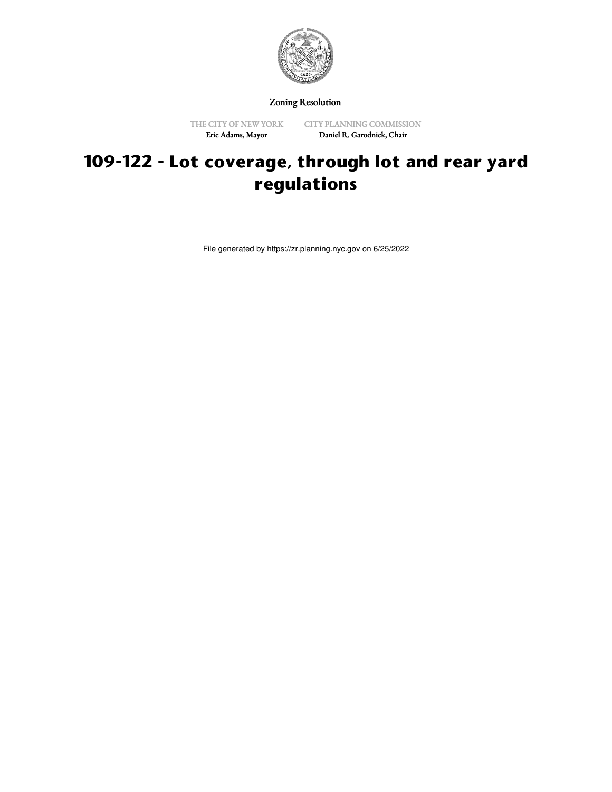

Zoning Resolution

Eric Adams, Mayor

THE CITY OF NEW YORK CITY PLANNING COMMISSION Daniel R. Garodnick, Chair

## **109-122 - Lot coverage, through lot and rear yard regulations**

File generated by https://zr.planning.nyc.gov on 6/25/2022